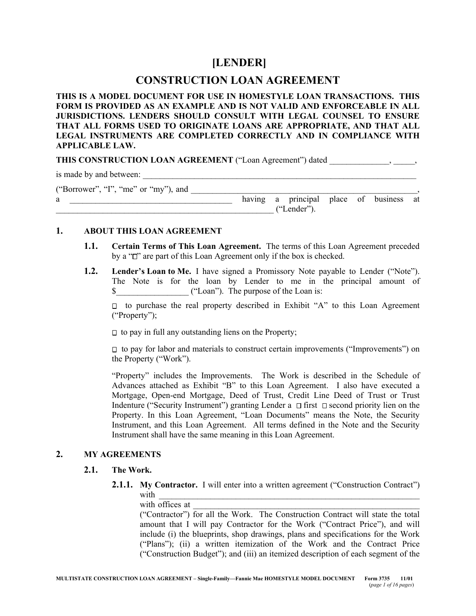# **[LENDER]**

# **CONSTRUCTION LOAN AGREEMENT**

**THIS IS A MODEL DOCUMENT FOR USE IN HOMESTYLE LOAN TRANSACTIONS. THIS FORM IS PROVIDED AS AN EXAMPLE AND IS NOT VALID AND ENFORCEABLE IN ALL JURISDICTIONS. LENDERS SHOULD CONSULT WITH LEGAL COUNSEL TO ENSURE THAT ALL FORMS USED TO ORIGINATE LOANS ARE APPROPRIATE, AND THAT ALL LEGAL INSTRUMENTS ARE COMPLETED CORRECTLY AND IN COMPLIANCE WITH APPLICABLE LAW.**

THIS CONSTRUCTION LOAN AGREEMENT ("Loan Agreement") dated \_\_\_\_\_\_\_\_\_\_\_\_\_\_\_, \_\_\_\_\_,

is made by and between:

("Borrower", "I", "me" or "my"), and

| a |  |  | пг | а | principal    | place | 0Ì | business | at |
|---|--|--|----|---|--------------|-------|----|----------|----|
|   |  |  |    | . | 55<br>ender′ |       |    |          |    |

# **1. ABOUT THIS LOAN AGREEMENT**

- **1.1. Certain Terms of This Loan Agreement.** The terms of this Loan Agreement preceded by a " $\Box$ " are part of this Loan Agreement only if the box is checked.
- **1.2. Lender's Loan to Me.** I have signed a Promissory Note payable to Lender ("Note"). The Note is for the loan by Lender to me in the principal amount of \$\_\_\_\_\_\_\_\_\_\_\_\_\_\_\_\_\_ ("Loan"). The purpose of the Loan is:

 $\Box$  to purchase the real property described in Exhibit "A" to this Loan Agreement ("Property");

 $\Box$  to pay in full any outstanding liens on the Property;

 $\Box$  to pay for labor and materials to construct certain improvements ("Improvements") on the Property ("Work").

"Property" includes the Improvements. The Work is described in the Schedule of Advances attached as Exhibit "B" to this Loan Agreement. I also have executed a Mortgage, Open-end Mortgage, Deed of Trust, Credit Line Deed of Trust or Trust Indenture ("Security Instrument") granting Lender a  $\Box$  first  $\Box$  second priority lien on the Property. In this Loan Agreement, "Loan Documents" means the Note, the Security Instrument, and this Loan Agreement. All terms defined in the Note and the Security Instrument shall have the same meaning in this Loan Agreement.

# **2. MY AGREEMENTS**

## **2.1. The Work.**

**2.1.1. My Contractor.** I will enter into a written agreement ("Construction Contract") with  $\frac{1}{\sqrt{2}}$ 

with offices at

("Contractor") for all the Work. The Construction Contract will state the total amount that I will pay Contractor for the Work ("Contract Price"), and will include (i) the blueprints, shop drawings, plans and specifications for the Work ("Plans"); (ii) a written itemization of the Work and the Contract Price ("Construction Budget"); and (iii) an itemized description of each segment of the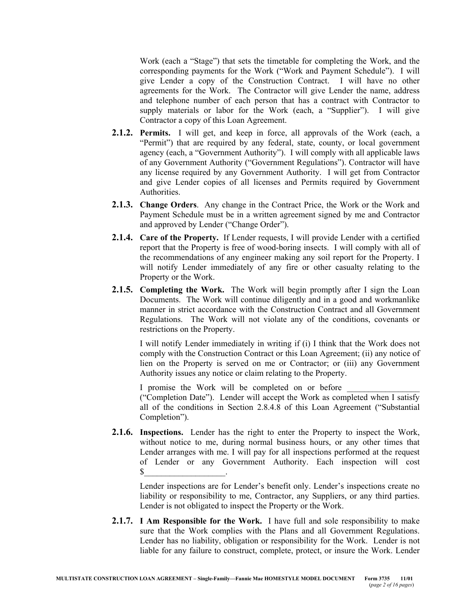Work (each a "Stage") that sets the timetable for completing the Work, and the corresponding payments for the Work ("Work and Payment Schedule"). I will give Lender a copy of the Construction Contract. I will have no other agreements for the Work. The Contractor will give Lender the name, address and telephone number of each person that has a contract with Contractor to supply materials or labor for the Work (each, a "Supplier"). I will give Contractor a copy of this Loan Agreement.

- **2.1.2. Permits.** I will get, and keep in force, all approvals of the Work (each, a "Permit") that are required by any federal, state, county, or local government agency (each, a "Government Authority"). I will comply with all applicable laws of any Government Authority ("Government Regulations"). Contractor will have any license required by any Government Authority. I will get from Contractor and give Lender copies of all licenses and Permits required by Government Authorities.
- **2.1.3. Change Orders**. Any change in the Contract Price, the Work or the Work and Payment Schedule must be in a written agreement signed by me and Contractor and approved by Lender ("Change Order").
- **2.1.4. Care of the Property.** If Lender requests, I will provide Lender with a certified report that the Property is free of wood-boring insects. I will comply with all of the recommendations of any engineer making any soil report for the Property. I will notify Lender immediately of any fire or other casualty relating to the Property or the Work.
- **2.1.5. Completing the Work.** The Work will begin promptly after I sign the Loan Documents. The Work will continue diligently and in a good and workmanlike manner in strict accordance with the Construction Contract and all Government Regulations. The Work will not violate any of the conditions, covenants or restrictions on the Property.

I will notify Lender immediately in writing if (i) I think that the Work does not comply with the Construction Contract or this Loan Agreement; (ii) any notice of lien on the Property is served on me or Contractor; or (iii) any Government Authority issues any notice or claim relating to the Property.

I promise the Work will be completed on or before ("Completion Date"). Lender will accept the Work as completed when I satisfy all of the conditions in Section 2.8.4.8 of this Loan Agreement ("Substantial Completion").

**2.1.6. Inspections.** Lender has the right to enter the Property to inspect the Work, without notice to me, during normal business hours, or any other times that Lender arranges with me. I will pay for all inspections performed at the request of Lender or any Government Authority. Each inspection will cost  $\mathbb{S}$   $\vdots$ 

Lender inspections are for Lender's benefit only. Lender's inspections create no liability or responsibility to me, Contractor, any Suppliers, or any third parties. Lender is not obligated to inspect the Property or the Work.

**2.1.7. I Am Responsible for the Work.** I have full and sole responsibility to make sure that the Work complies with the Plans and all Government Regulations. Lender has no liability, obligation or responsibility for the Work. Lender is not liable for any failure to construct, complete, protect, or insure the Work. Lender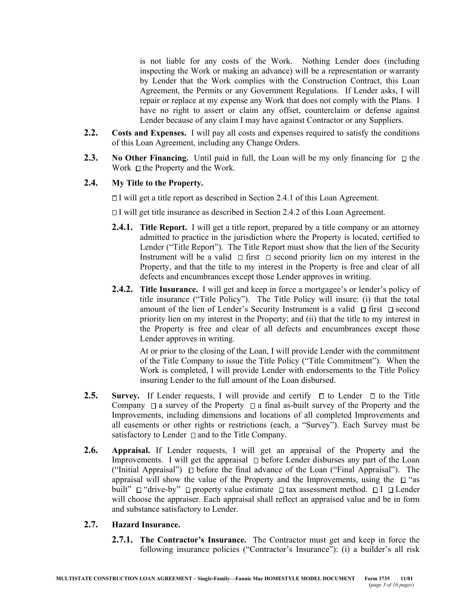is not liable for any costs of the Work. Nothing Lender does (including inspecting the Work or making an advance) will be a representation or warranty by Lender that the Work complies with the Construction Contract, this Loan Agreement, the Permits or any Government Regulations. If Lender asks, I will repair or replace at my expense any Work that does not comply with the Plans. I have no right to assert or claim any offset, counterclaim or defense against Lender because of any claim I may have against Contractor or any Suppliers.

- **2.2. Costs and Expenses.** I will pay all costs and expenses required to satisfy the conditions of this Loan Agreement, including any Change Orders.
- **2.3. No Other Financing.** Until paid in full, the Loan will be my only financing for  $\Box$  the Work  $\Box$  the Property and the Work.

# **2.4. My Title to the Property.**

 $\Box$  I will get a title report as described in Section 2.4.1 of this Loan Agreement.

 $\Box$  I will get title insurance as described in Section 2.4.2 of this Loan Agreement.

- **2.4.1. Title Report.** I will get a title report, prepared by a title company or an attorney admitted to practice in the jurisdiction where the Property is located, certified to Lender ("Title Report"). The Title Report must show that the lien of the Security Instrument will be a valid  $\Box$  first  $\Box$  second priority lien on my interest in the Property, and that the title to my interest in the Property is free and clear of all defects and encumbrances except those Lender approves in writing.
- **2.4.2. Title Insurance.** I will get and keep in force a mortgagee's or lender's policy of title insurance ("Title Policy"). The Title Policy will insure: (i) that the total amount of the lien of Lender's Security Instrument is a valid  $\Box$  first  $\Box$  second priority lien on my interest in the Property; and (ii) that the title to my interest in the Property is free and clear of all defects and encumbrances except those Lender approves in writing.

At or prior to the closing of the Loan, I will provide Lender with the commitment of the Title Company to issue the Title Policy ("Title Commitment"). When the Work is completed, I will provide Lender with endorsements to the Title Policy insuring Lender to the full amount of the Loan disbursed.

- **2.5. Survey.** If Lender requests, I will provide and certify  $\Box$  to Lender  $\Box$  to the Title Company  $\Box$  a survey of the Property  $\Box$  a final as-built survey of the Property and the Improvements, including dimensions and locations of all completed Improvements and all easements or other rights or restrictions (each, a "Survey"). Each Survey must be satisfactory to Lender  $\Box$  and to the Title Company.
- **2.6. Appraisal.** If Lender requests, I will get an appraisal of the Property and the Improvements. I will get the appraisal  $\Box$  before Lender disburses any part of the Loan ("Initial Appraisal")  $\Box$  before the final advance of the Loan ("Final Appraisal"). The appraisal will show the value of the Property and the Improvements, using the  $\Box$  "as built"  $\Box$  "drive-by"  $\Box$  property value estimate  $\Box$  tax assessment method.  $\Box$  I  $\Box$  Lender will choose the appraiser. Each appraisal shall reflect an appraised value and be in form and substance satisfactory to Lender.

## **2.7. Hazard Insurance.**

**2.7.1. The Contractor's Insurance.** The Contractor must get and keep in force the following insurance policies ("Contractor's Insurance"): (i) a builder's all risk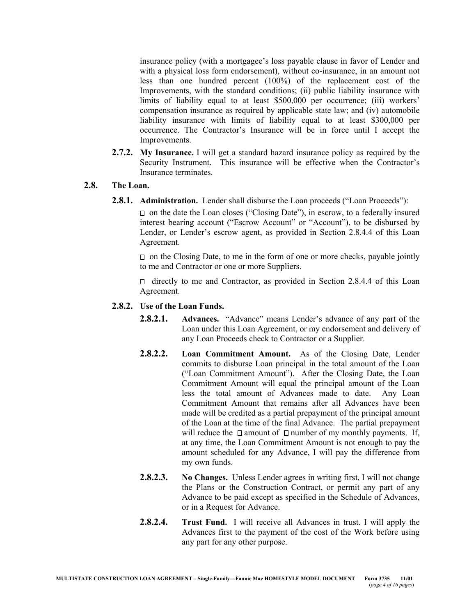insurance policy (with a mortgagee's loss payable clause in favor of Lender and with a physical loss form endorsement), without co-insurance, in an amount not less than one hundred percent (100%) of the replacement cost of the Improvements, with the standard conditions; (ii) public liability insurance with limits of liability equal to at least \$500,000 per occurrence; (iii) workers' compensation insurance as required by applicable state law; and (iv) automobile liability insurance with limits of liability equal to at least \$300,000 per occurrence. The Contractor's Insurance will be in force until I accept the Improvements.

**2.7.2. My Insurance.** I will get a standard hazard insurance policy as required by the Security Instrument. This insurance will be effective when the Contractor's Insurance terminates.

## **2.8. The Loan.**

**2.8.1. Administration.** Lender shall disburse the Loan proceeds ("Loan Proceeds"):

 $\Box$  on the date the Loan closes ("Closing Date"), in escrow, to a federally insured interest bearing account ("Escrow Account" or "Account"), to be disbursed by Lender, or Lender's escrow agent, as provided in Section 2.8.4.4 of this Loan Agreement.

 $\Box$  on the Closing Date, to me in the form of one or more checks, payable jointly to me and Contractor or one or more Suppliers.

 $\Box$  directly to me and Contractor, as provided in Section 2.8.4.4 of this Loan Agreement.

#### **2.8.2. Use of the Loan Funds.**

- **2.8.2.1. Advances.** "Advance" means Lender's advance of any part of the Loan under this Loan Agreement, or my endorsement and delivery of any Loan Proceeds check to Contractor or a Supplier.
- **2.8.2.2. Loan Commitment Amount.** As of the Closing Date, Lender commits to disburse Loan principal in the total amount of the Loan ("Loan Commitment Amount"). After the Closing Date, the Loan Commitment Amount will equal the principal amount of the Loan less the total amount of Advances made to date. Any Loan Commitment Amount that remains after all Advances have been made will be credited as a partial prepayment of the principal amount of the Loan at the time of the final Advance. The partial prepayment will reduce the  $\Box$  amount of  $\Box$  number of my monthly payments. If, at any time, the Loan Commitment Amount is not enough to pay the amount scheduled for any Advance, I will pay the difference from my own funds.
- **2.8.2.3. No Changes.** Unless Lender agrees in writing first, I will not change the Plans or the Construction Contract, or permit any part of any Advance to be paid except as specified in the Schedule of Advances, or in a Request for Advance.
- **2.8.2.4. Trust Fund.** I will receive all Advances in trust. I will apply the Advances first to the payment of the cost of the Work before using any part for any other purpose.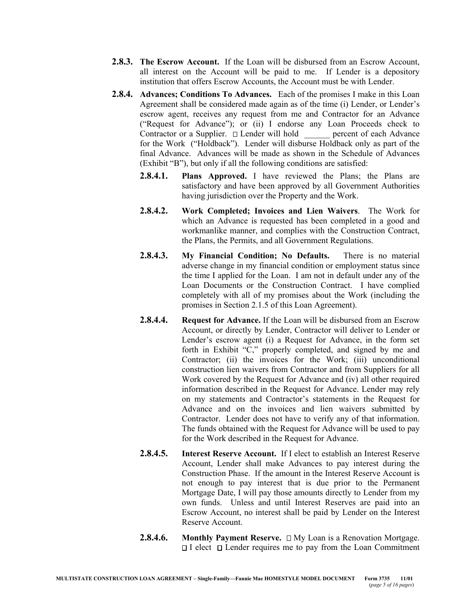- **2.8.3. The Escrow Account.** If the Loan will be disbursed from an Escrow Account, all interest on the Account will be paid to me. If Lender is a depository institution that offers Escrow Accounts, the Account must be with Lender.
- **2.8.4. Advances; Conditions To Advances.** Each of the promises I make in this Loan Agreement shall be considered made again as of the time (i) Lender, or Lender's escrow agent, receives any request from me and Contractor for an Advance ("Request for Advance"); or (ii) I endorse any Loan Proceeds check to Contractor or a Supplier.  $\Box$  Lender will hold percent of each Advance for the Work ("Holdback"). Lender will disburse Holdback only as part of the final Advance. Advances will be made as shown in the Schedule of Advances (Exhibit "B"), but only if all the following conditions are satisfied:
	- **2.8.4.1. Plans Approved.** I have reviewed the Plans; the Plans are satisfactory and have been approved by all Government Authorities having jurisdiction over the Property and the Work.
	- **2.8.4.2. Work Completed; Invoices and Lien Waivers**.The Work for which an Advance is requested has been completed in a good and workmanlike manner, and complies with the Construction Contract, the Plans, the Permits, and all Government Regulations.
	- **2.8.4.3. My Financial Condition; No Defaults.** There is no material adverse change in my financial condition or employment status since the time I applied for the Loan. I am not in default under any of the Loan Documents or the Construction Contract. I have complied completely with all of my promises about the Work (including the promises in Section 2.1.5 of this Loan Agreement).
	- **2.8.4.4. Request for Advance.** If the Loan will be disbursed from an Escrow Account, or directly by Lender, Contractor will deliver to Lender or Lender's escrow agent (i) a Request for Advance, in the form set forth in Exhibit "C," properly completed, and signed by me and Contractor; (ii) the invoices for the Work; (iii) unconditional construction lien waivers from Contractor and from Suppliers for all Work covered by the Request for Advance and (iv) all other required information described in the Request for Advance. Lender may rely on my statements and Contractor's statements in the Request for Advance and on the invoices and lien waivers submitted by Contractor. Lender does not have to verify any of that information. The funds obtained with the Request for Advance will be used to pay for the Work described in the Request for Advance.
	- **2.8.4.5. Interest Reserve Account.** If I elect to establish an Interest Reserve Account, Lender shall make Advances to pay interest during the Construction Phase. If the amount in the Interest Reserve Account is not enough to pay interest that is due prior to the Permanent Mortgage Date, I will pay those amounts directly to Lender from my own funds. Unless and until Interest Reserves are paid into an Escrow Account, no interest shall be paid by Lender on the Interest Reserve Account.
	- **2.8.4.6. Monthly Payment Reserve.** □ My Loan is a Renovation Mortgage.  $\Box$  I elect  $\Box$  Lender requires me to pay from the Loan Commitment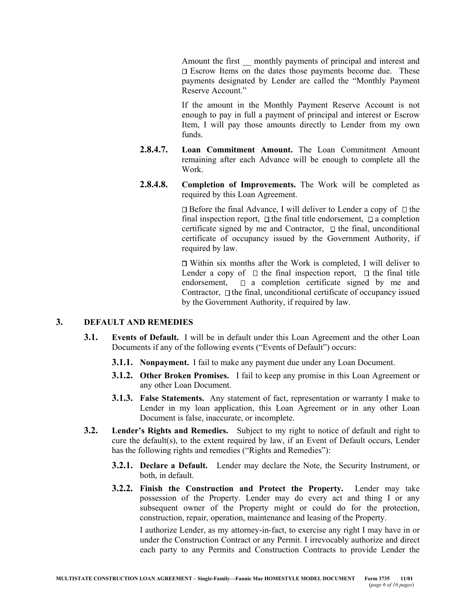Amount the first monthly payments of principal and interest and  $\square$  Escrow Items on the dates those payments become due. These payments designated by Lender are called the "Monthly Payment Reserve Account."

If the amount in the Monthly Payment Reserve Account is not enough to pay in full a payment of principal and interest or Escrow Item, I will pay those amounts directly to Lender from my own funds.

- **2.8.4.7. Loan Commitment Amount.** The Loan Commitment Amount remaining after each Advance will be enough to complete all the Work.
- **2.8.4.8. Completion of Improvements.** The Work will be completed as required by this Loan Agreement.

 $\Box$  Before the final Advance, I will deliver to Lender a copy of  $\Box$  the final inspection report,  $\Box$  the final title endorsement,  $\Box$  a completion certificate signed by me and Contractor,  $\Box$  the final, unconditional certificate of occupancy issued by the Government Authority, if required by law.

 $\Box$  Within six months after the Work is completed, I will deliver to Lender a copy of  $\Box$  the final inspection report,  $\Box$  the final title endorsement,  $\Box$  a completion certificate signed by me and Contractor,  $\Box$  the final, unconditional certificate of occupancy issued by the Government Authority, if required by law.

#### **3. DEFAULT AND REMEDIES**

- **3.1. Events of Default.** I will be in default under this Loan Agreement and the other Loan Documents if any of the following events ("Events of Default") occurs:
	- **3.1.1. Nonpayment.** I fail to make any payment due under any Loan Document.
	- **3.1.2. Other Broken Promises.** I fail to keep any promise in this Loan Agreement or any other Loan Document.
	- **3.1.3. False Statements.** Any statement of fact, representation or warranty I make to Lender in my loan application, this Loan Agreement or in any other Loan Document is false, inaccurate, or incomplete.
- **3.2. Lender's Rights and Remedies.** Subject to my right to notice of default and right to cure the default(s), to the extent required by law, if an Event of Default occurs, Lender has the following rights and remedies ("Rights and Remedies"):
	- **3.2.1. Declare a Default.** Lender may declare the Note, the Security Instrument, or both, in default.
	- **3.2.2. Finish the Construction and Protect the Property.** Lender may take possession of the Property. Lender may do every act and thing I or any subsequent owner of the Property might or could do for the protection, construction, repair, operation, maintenance and leasing of the Property.

I authorize Lender, as my attorney-in-fact, to exercise any right I may have in or under the Construction Contract or any Permit. I irrevocably authorize and direct each party to any Permits and Construction Contracts to provide Lender the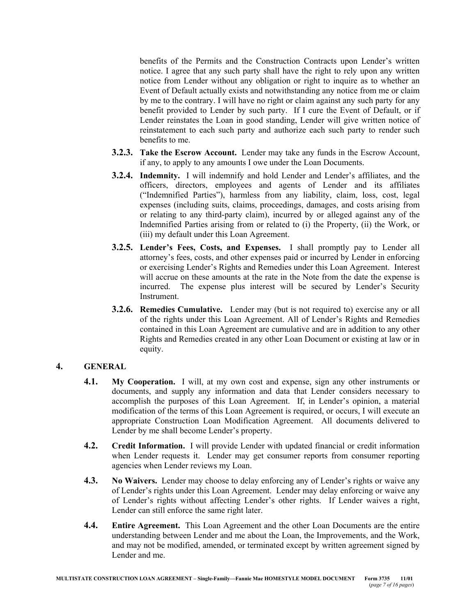benefits of the Permits and the Construction Contracts upon Lender's written notice. I agree that any such party shall have the right to rely upon any written notice from Lender without any obligation or right to inquire as to whether an Event of Default actually exists and notwithstanding any notice from me or claim by me to the contrary. I will have no right or claim against any such party for any benefit provided to Lender by such party. If I cure the Event of Default, or if Lender reinstates the Loan in good standing, Lender will give written notice of reinstatement to each such party and authorize each such party to render such benefits to me.

- **3.2.3. Take the Escrow Account.** Lender may take any funds in the Escrow Account, if any, to apply to any amounts I owe under the Loan Documents.
- **3.2.4. Indemnity.** I will indemnify and hold Lender and Lender's affiliates, and the officers, directors, employees and agents of Lender and its affiliates ("Indemnified Parties"), harmless from any liability, claim, loss, cost, legal expenses (including suits, claims, proceedings, damages, and costs arising from or relating to any third-party claim), incurred by or alleged against any of the Indemnified Parties arising from or related to (i) the Property, (ii) the Work, or (iii) my default under this Loan Agreement.
- **3.2.5. Lender's Fees, Costs, and Expenses.** I shall promptly pay to Lender all attorney's fees, costs, and other expenses paid or incurred by Lender in enforcing or exercising Lender's Rights and Remedies under this Loan Agreement. Interest will accrue on these amounts at the rate in the Note from the date the expense is incurred. The expense plus interest will be secured by Lender's Security Instrument.
- **3.2.6. Remedies Cumulative.** Lender may (but is not required to) exercise any or all of the rights under this Loan Agreement. All of Lender's Rights and Remedies contained in this Loan Agreement are cumulative and are in addition to any other Rights and Remedies created in any other Loan Document or existing at law or in equity.

# **4. GENERAL**

- **4.1. My Cooperation.** I will, at my own cost and expense, sign any other instruments or documents, and supply any information and data that Lender considers necessary to accomplish the purposes of this Loan Agreement. If, in Lender's opinion, a material modification of the terms of this Loan Agreement is required, or occurs, I will execute an appropriate Construction Loan Modification Agreement. All documents delivered to Lender by me shall become Lender's property.
- **4.2. Credit Information.** I will provide Lender with updated financial or credit information when Lender requests it. Lender may get consumer reports from consumer reporting agencies when Lender reviews my Loan.
- **4.3. No Waivers.** Lender may choose to delay enforcing any of Lender's rights or waive any of Lender's rights under this Loan Agreement. Lender may delay enforcing or waive any of Lender's rights without affecting Lender's other rights. If Lender waives a right, Lender can still enforce the same right later.
- **4.4. Entire Agreement.** This Loan Agreement and the other Loan Documents are the entire understanding between Lender and me about the Loan, the Improvements, and the Work, and may not be modified, amended, or terminated except by written agreement signed by Lender and me.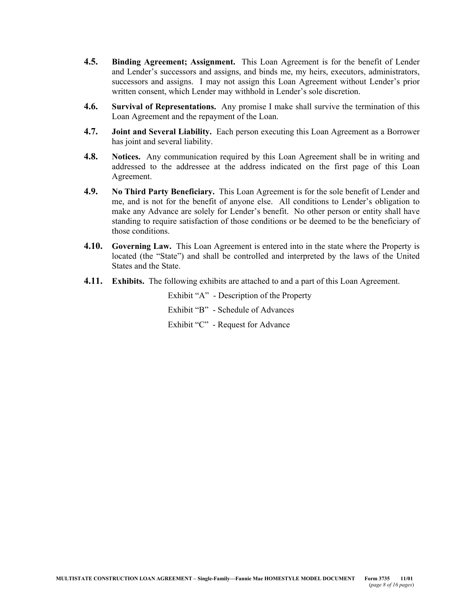- **4.5. Binding Agreement; Assignment.** This Loan Agreement is for the benefit of Lender and Lender's successors and assigns, and binds me, my heirs, executors, administrators, successors and assigns. I may not assign this Loan Agreement without Lender's prior written consent, which Lender may withhold in Lender's sole discretion.
- **4.6. Survival of Representations.** Any promise I make shall survive the termination of this Loan Agreement and the repayment of the Loan.
- **4.7. Joint and Several Liability.** Each person executing this Loan Agreement as a Borrower has joint and several liability.
- **4.8. Notices.** Any communication required by this Loan Agreement shall be in writing and addressed to the addressee at the address indicated on the first page of this Loan Agreement.
- **4.9. No Third Party Beneficiary.** This Loan Agreement is for the sole benefit of Lender and me, and is not for the benefit of anyone else. All conditions to Lender's obligation to make any Advance are solely for Lender's benefit. No other person or entity shall have standing to require satisfaction of those conditions or be deemed to be the beneficiary of those conditions.
- **4.10. Governing Law.** This Loan Agreement is entered into in the state where the Property is located (the "State") and shall be controlled and interpreted by the laws of the United States and the State.
- **4.11. Exhibits.** The following exhibits are attached to and a part of this Loan Agreement.

Exhibit "A" - Description of the Property Exhibit "B" - Schedule of Advances Exhibit "C" - Request for Advance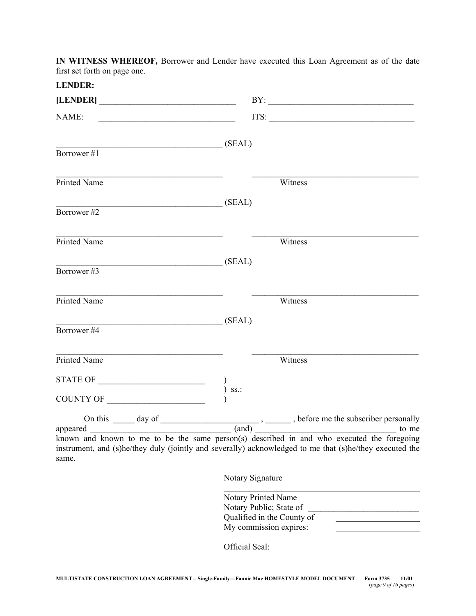**IN WITNESS WHEREOF,** Borrower and Lender have executed this Loan Agreement as of the date first set forth on page one.

| <b>LENDER:</b>                                                 |                                                                                                                                                                                                                                                                                                                                                                                                          |
|----------------------------------------------------------------|----------------------------------------------------------------------------------------------------------------------------------------------------------------------------------------------------------------------------------------------------------------------------------------------------------------------------------------------------------------------------------------------------------|
|                                                                | BY:                                                                                                                                                                                                                                                                                                                                                                                                      |
| NAME:                                                          | $ITS: \begin{tabular}{ c c c c } \hline \rule{0pt}{8ex} \rule{0pt}{8ex} \rule{0pt}{8ex} \rule{0pt}{8ex} \rule{0pt}{8ex} \rule{0pt}{8ex} \rule{0pt}{8ex} \rule{0pt}{8ex} \rule{0pt}{8ex} \rule{0pt}{8ex} \rule{0pt}{8ex} \rule{0pt}{8ex} \rule{0pt}{8ex} \rule{0pt}{8ex} \rule{0pt}{8ex} \rule{0pt}{8ex} \rule{0pt}{8ex} \rule{0pt}{8ex} \rule{0pt}{8ex} \rule{0pt}{8ex} \rule{0pt}{8ex} \rule{0pt}{8ex}$ |
| SEAL<br>Borrower#1                                             |                                                                                                                                                                                                                                                                                                                                                                                                          |
| Printed Name                                                   | Witness                                                                                                                                                                                                                                                                                                                                                                                                  |
| (SEAL)<br>Borrower#2                                           |                                                                                                                                                                                                                                                                                                                                                                                                          |
| Printed Name                                                   | Witness                                                                                                                                                                                                                                                                                                                                                                                                  |
| (SEAL)<br>Borrower#3                                           |                                                                                                                                                                                                                                                                                                                                                                                                          |
| Printed Name                                                   | Witness                                                                                                                                                                                                                                                                                                                                                                                                  |
| (SEAL)<br>Borrower#4                                           |                                                                                                                                                                                                                                                                                                                                                                                                          |
| <b>Printed Name</b>                                            | Witness                                                                                                                                                                                                                                                                                                                                                                                                  |
| $\begin{tabular}{c} \bf STATE OF \end{tabular}$<br>COUNTY OF   | SS.                                                                                                                                                                                                                                                                                                                                                                                                      |
| On this $\_\_\_\_$ day of $\_\_\_\_\_\_\_\_\_\_\_\_\_\_\_\_\_$ | __, ______, before me the subscriber personally                                                                                                                                                                                                                                                                                                                                                          |
| appeared<br>same.                                              | $\frac{1}{2}$ (and) $\frac{1}{2}$<br>to me<br>known and known to me to be the same person(s) described in and who executed the foregoing<br>instrument, and (s)he/they duly (jointly and severally) acknowledged to me that (s)he/they executed the                                                                                                                                                      |
|                                                                | Notary Signature                                                                                                                                                                                                                                                                                                                                                                                         |
|                                                                | Notary Printed Name<br>Notary Public; State of                                                                                                                                                                                                                                                                                                                                                           |

Official Seal:

Qualified in the County of My commission expires: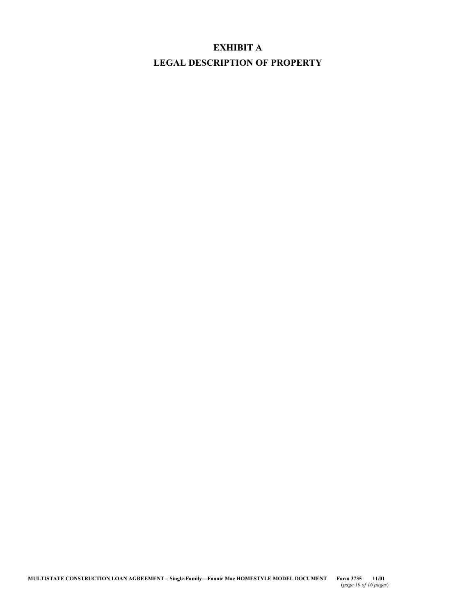# **EXHIBIT A LEGAL DESCRIPTION OF PROPERTY**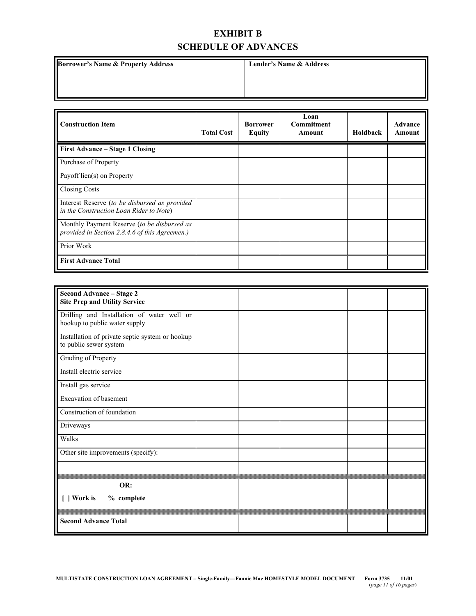# **EXHIBIT B SCHEDULE OF ADVANCES**

**Borrower's Name & Property Address | Lender's Name & Address** 

| <b>Construction Item</b>                                                                      | <b>Total Cost</b> | <b>Borrower</b><br><b>Equity</b> | Loan<br><b>Commitment</b><br>Amount | Holdback | <b>Advance</b><br>Amount |
|-----------------------------------------------------------------------------------------------|-------------------|----------------------------------|-------------------------------------|----------|--------------------------|
| First Advance – Stage 1 Closing                                                               |                   |                                  |                                     |          |                          |
| Purchase of Property                                                                          |                   |                                  |                                     |          |                          |
| Payoff lien(s) on Property                                                                    |                   |                                  |                                     |          |                          |
| <b>Closing Costs</b>                                                                          |                   |                                  |                                     |          |                          |
| Interest Reserve (to be disbursed as provided<br>in the Construction Loan Rider to Note)      |                   |                                  |                                     |          |                          |
| Monthly Payment Reserve (to be disbursed as<br>provided in Section 2.8.4.6 of this Agreemen.) |                   |                                  |                                     |          |                          |
| Prior Work                                                                                    |                   |                                  |                                     |          |                          |
| <b>First Advance Total</b>                                                                    |                   |                                  |                                     |          |                          |

| Second Advance - Stage 2<br><b>Site Prep and Utility Service</b>            |  |  |  |
|-----------------------------------------------------------------------------|--|--|--|
| Drilling and Installation of water well or<br>hookup to public water supply |  |  |  |
| Installation of private septic system or hookup<br>to public sewer system   |  |  |  |
| Grading of Property                                                         |  |  |  |
| Install electric service                                                    |  |  |  |
| Install gas service                                                         |  |  |  |
| Excavation of basement                                                      |  |  |  |
| Construction of foundation                                                  |  |  |  |
| Driveways                                                                   |  |  |  |
| Walks                                                                       |  |  |  |
| Other site improvements (specify):                                          |  |  |  |
|                                                                             |  |  |  |
| OR:                                                                         |  |  |  |
| Work is<br>% complete                                                       |  |  |  |
| <b>Second Advance Total</b>                                                 |  |  |  |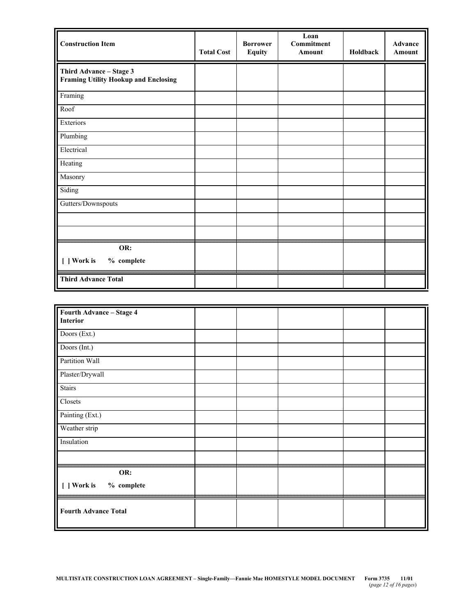| <b>Construction Item</b>                                               | <b>Total Cost</b> | <b>Borrower</b><br><b>Equity</b> | Loan<br><b>Commitment</b><br>Amount | Holdback | Advance<br><b>Amount</b> |
|------------------------------------------------------------------------|-------------------|----------------------------------|-------------------------------------|----------|--------------------------|
| Third Advance - Stage 3<br><b>Framing Utility Hookup and Enclosing</b> |                   |                                  |                                     |          |                          |
| Framing                                                                |                   |                                  |                                     |          |                          |
| Roof                                                                   |                   |                                  |                                     |          |                          |
| Exteriors                                                              |                   |                                  |                                     |          |                          |
| Plumbing                                                               |                   |                                  |                                     |          |                          |
| Electrical                                                             |                   |                                  |                                     |          |                          |
| Heating                                                                |                   |                                  |                                     |          |                          |
| Masonry                                                                |                   |                                  |                                     |          |                          |
| Siding                                                                 |                   |                                  |                                     |          |                          |
| Gutters/Downspouts                                                     |                   |                                  |                                     |          |                          |
|                                                                        |                   |                                  |                                     |          |                          |
|                                                                        |                   |                                  |                                     |          |                          |
| OR:                                                                    |                   |                                  |                                     |          |                          |
| [ ] Work is<br>% complete                                              |                   |                                  |                                     |          |                          |
| <b>Third Advance Total</b>                                             |                   |                                  |                                     |          |                          |

| Fourth Advance - Stage 4<br><b>Interior</b> |  |  |  |
|---------------------------------------------|--|--|--|
| Doors (Ext.)                                |  |  |  |
| Doors (Int.)                                |  |  |  |
| Partition Wall                              |  |  |  |
| Plaster/Drywall                             |  |  |  |
| <b>Stairs</b>                               |  |  |  |
| Closets                                     |  |  |  |
| Painting (Ext.)                             |  |  |  |
| Weather strip                               |  |  |  |
| Insulation                                  |  |  |  |
|                                             |  |  |  |
| OR:                                         |  |  |  |
| [ ] Work is<br>% complete                   |  |  |  |
| <b>Fourth Advance Total</b>                 |  |  |  |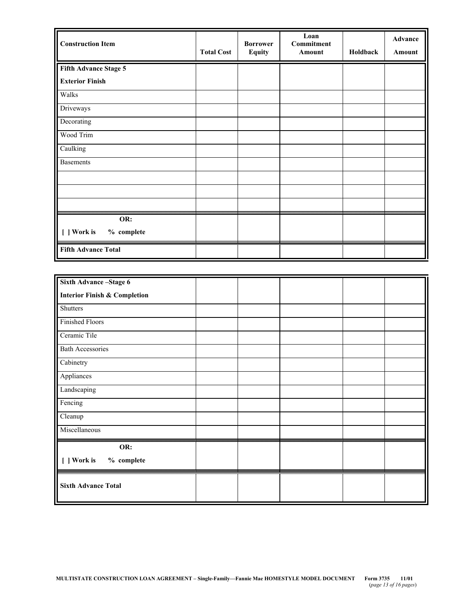| <b>Construction Item</b>   | <b>Total Cost</b> | <b>Borrower</b><br><b>Equity</b> | Loan<br>Commitment<br>Amount | Holdback | Advance<br>Amount |
|----------------------------|-------------------|----------------------------------|------------------------------|----------|-------------------|
| Fifth Advance Stage 5      |                   |                                  |                              |          |                   |
| <b>Exterior Finish</b>     |                   |                                  |                              |          |                   |
| Walks                      |                   |                                  |                              |          |                   |
| Driveways                  |                   |                                  |                              |          |                   |
| Decorating                 |                   |                                  |                              |          |                   |
| Wood Trim                  |                   |                                  |                              |          |                   |
| Caulking                   |                   |                                  |                              |          |                   |
| <b>Basements</b>           |                   |                                  |                              |          |                   |
|                            |                   |                                  |                              |          |                   |
|                            |                   |                                  |                              |          |                   |
|                            |                   |                                  |                              |          |                   |
| OR:                        |                   |                                  |                              |          |                   |
| [ ] Work is<br>% complete  |                   |                                  |                              |          |                   |
| <b>Fifth Advance Total</b> |                   |                                  |                              |          |                   |

| Sixth Advance-Stage 6                   |  |  |  |
|-----------------------------------------|--|--|--|
| <b>Interior Finish &amp; Completion</b> |  |  |  |
| <b>Shutters</b>                         |  |  |  |
| <b>Finished Floors</b>                  |  |  |  |
| Ceramic Tile                            |  |  |  |
| <b>Bath Accessories</b>                 |  |  |  |
| Cabinetry                               |  |  |  |
| Appliances                              |  |  |  |
| Landscaping                             |  |  |  |
| Fencing                                 |  |  |  |
| Cleanup                                 |  |  |  |
| Miscellaneous                           |  |  |  |
| OR:                                     |  |  |  |
| % complete<br>[ ] Work is               |  |  |  |
| <b>Sixth Advance Total</b>              |  |  |  |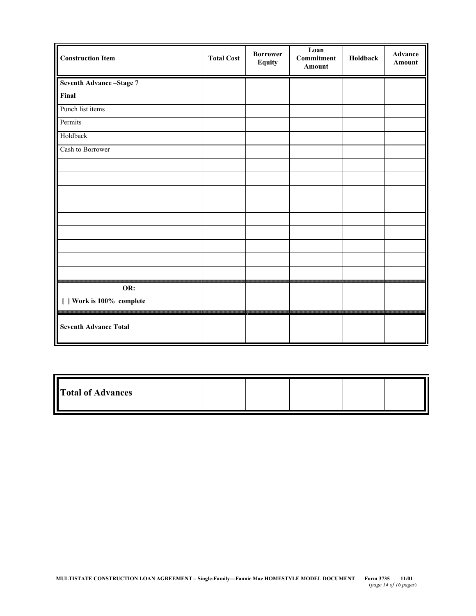| <b>Construction Item</b>     | <b>Total Cost</b> | <b>Borrower</b><br><b>Equity</b> | Loan<br><b>Commitment</b><br><b>Amount</b> | Holdback | Advance<br>Amount |
|------------------------------|-------------------|----------------------------------|--------------------------------------------|----------|-------------------|
| Seventh Advance-Stage 7      |                   |                                  |                                            |          |                   |
| Final                        |                   |                                  |                                            |          |                   |
| Punch list items             |                   |                                  |                                            |          |                   |
| Permits                      |                   |                                  |                                            |          |                   |
| Holdback                     |                   |                                  |                                            |          |                   |
| Cash to Borrower             |                   |                                  |                                            |          |                   |
|                              |                   |                                  |                                            |          |                   |
|                              |                   |                                  |                                            |          |                   |
|                              |                   |                                  |                                            |          |                   |
|                              |                   |                                  |                                            |          |                   |
|                              |                   |                                  |                                            |          |                   |
|                              |                   |                                  |                                            |          |                   |
|                              |                   |                                  |                                            |          |                   |
|                              |                   |                                  |                                            |          |                   |
|                              |                   |                                  |                                            |          |                   |
| OR:                          |                   |                                  |                                            |          |                   |
| [ ] Work is 100% complete    |                   |                                  |                                            |          |                   |
| <b>Seventh Advance Total</b> |                   |                                  |                                            |          |                   |

| Total of Advances |  |  |  |  |  |
|-------------------|--|--|--|--|--|
|-------------------|--|--|--|--|--|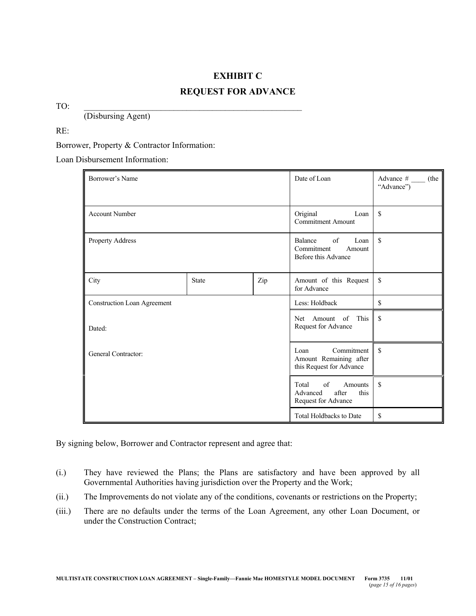# **EXHIBIT C REQUEST FOR ADVANCE**

TO: \_\_\_\_\_\_\_\_\_\_\_\_\_\_\_\_\_\_\_\_\_\_\_\_\_\_\_\_\_\_\_\_\_\_\_\_\_\_\_\_\_\_\_\_\_\_\_\_\_\_\_

(Disbursing Agent)

RE:

Borrower, Property & Contractor Information:

Loan Disbursement Information:

| Borrower's Name             |              | Date of Loan                                                               | Advance $#$ (the<br>"Advance")                                             |                    |  |  |
|-----------------------------|--------------|----------------------------------------------------------------------------|----------------------------------------------------------------------------|--------------------|--|--|
| <b>Account Number</b>       |              | \$<br>Original<br>Loan<br><b>Commitment Amount</b>                         |                                                                            |                    |  |  |
| Property Address            |              | \$<br>of<br>Balance<br>Loan<br>Commitment<br>Amount<br>Before this Advance |                                                                            |                    |  |  |
| City                        | <b>State</b> | Zip                                                                        | Amount of this Request<br>for Advance                                      | \$                 |  |  |
| Construction Loan Agreement |              |                                                                            | \$<br>Less: Holdback                                                       |                    |  |  |
| Dated:                      |              |                                                                            | This<br>of<br>Amount<br>Net.<br>Request for Advance                        | $\mathbf{\hat{S}}$ |  |  |
| General Contractor:         |              | Commitment<br>Loan<br>Amount Remaining after<br>this Request for Advance   | $\mathcal{S}$                                                              |                    |  |  |
|                             |              |                                                                            | of<br>Total<br>Amounts<br>Advanced<br>after<br>this<br>Request for Advance | $\mathsf{\$}$      |  |  |
|                             |              |                                                                            | <b>Total Holdbacks to Date</b>                                             | \$                 |  |  |

By signing below, Borrower and Contractor represent and agree that:

- (i.) They have reviewed the Plans; the Plans are satisfactory and have been approved by all Governmental Authorities having jurisdiction over the Property and the Work;
- (ii.) The Improvements do not violate any of the conditions, covenants or restrictions on the Property;
- (iii.) There are no defaults under the terms of the Loan Agreement, any other Loan Document, or under the Construction Contract;